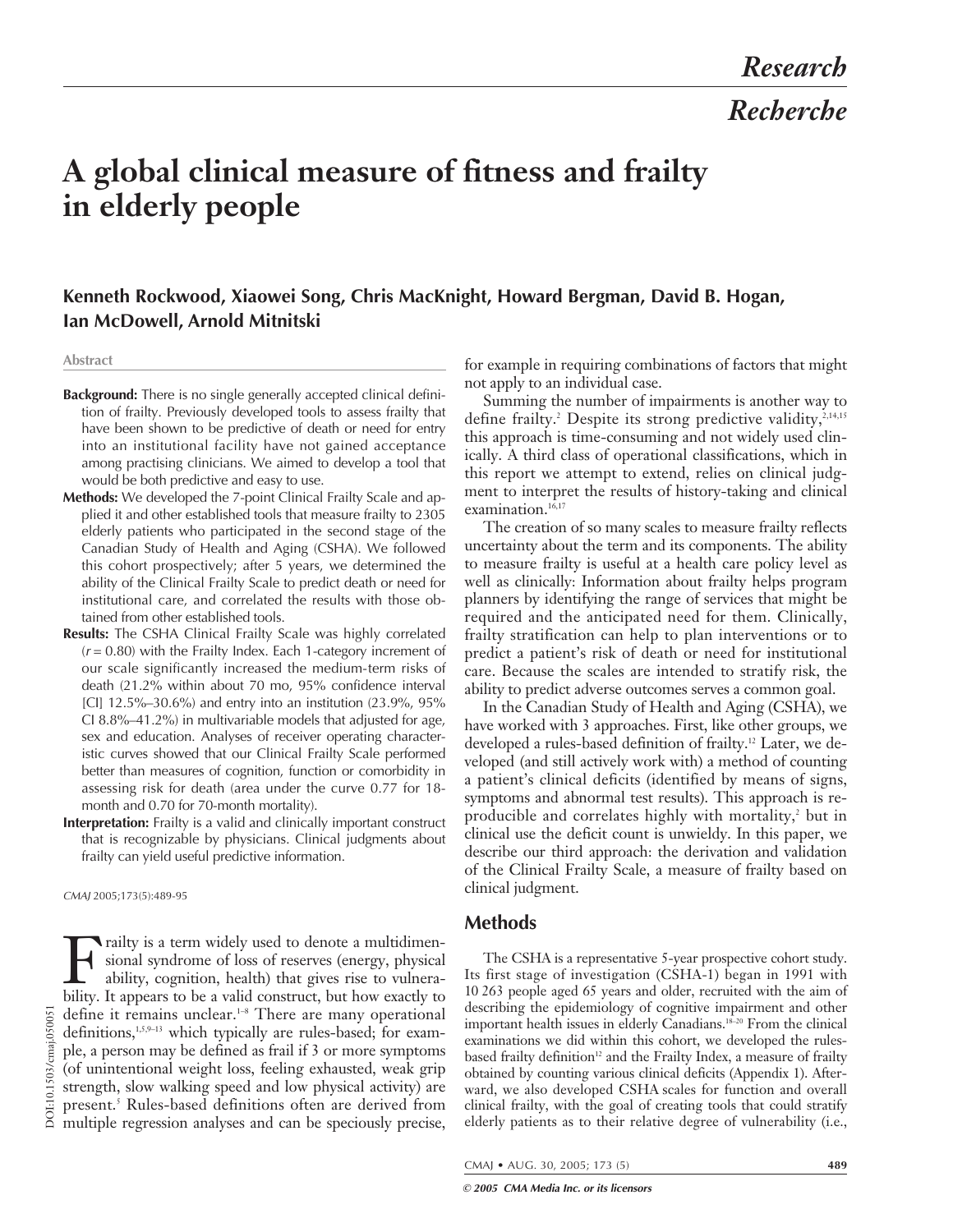# **A global clinical measure of fitness and frailty in elderly people**

# **Kenneth Rockwood, Xiaowei Song, Chris MacKnight, Howard Bergman, David B. Hogan, Ian McDowell, Arnold Mitnitski**

#### **Abstract**

- **Background:** There is no single generally accepted clinical definition of frailty. Previously developed tools to assess frailty that have been shown to be predictive of death or need for entry into an institutional facility have not gained acceptance among practising clinicians. We aimed to develop a tool that would be both predictive and easy to use.
- **Methods:** We developed the 7-point Clinical Frailty Scale and applied it and other established tools that measure frailty to 2305 elderly patients who participated in the second stage of the Canadian Study of Health and Aging (CSHA). We followed this cohort prospectively; after 5 years, we determined the ability of the Clinical Frailty Scale to predict death or need for institutional care, and correlated the results with those obtained from other established tools.
- **Results:** The CSHA Clinical Frailty Scale was highly correlated  $(r = 0.80)$  with the Frailty Index. Each 1-category increment of our scale significantly increased the medium-term risks of death (21.2% within about 70 mo, 95% confidence interval [CI] 12.5%–30.6%) and entry into an institution (23.9%, 95% CI 8.8%–41.2%) in multivariable models that adjusted for age, sex and education. Analyses of receiver operating characteristic curves showed that our Clinical Frailty Scale performed better than measures of cognition, function or comorbidity in assessing risk for death (area under the curve 0.77 for 18 month and 0.70 for 70-month mortality).
- **Interpretation:** Frailty is a valid and clinically important construct that is recognizable by physicians. Clinical judgments about frailty can yield useful predictive information.

#### CMAJ 2005;173(5):489-95

DOI:10.1503/cmaj.050051 DOI:10.1503/cmaj.050051

Frailty is a term widely used to denote a multidimensional syndrome of loss of reserves (energy, physical ability, cognition, health) that gives rise to vulnerability. It annears to be a valid construct but how exactly to sional syndrome of loss of reserves (energy, physical ability, cognition, health) that gives rise to vulnerability. It appears to be a valid construct, but how exactly to define it remains unclear.1–8 There are many operational definitions, $1,5,9-13$  which typically are rules-based; for example, a person may be defined as frail if 3 or more symptoms (of unintentional weight loss, feeling exhausted, weak grip strength, slow walking speed and low physical activity) are present.<sup>5</sup> Rules-based definitions often are derived from multiple regression analyses and can be speciously precise,

for example in requiring combinations of factors that might not apply to an individual case.

Summing the number of impairments is another way to define frailty.<sup>2</sup> Despite its strong predictive validity,<sup>2,14,15</sup> this approach is time-consuming and not widely used clinically. A third class of operational classifications, which in this report we attempt to extend, relies on clinical judgment to interpret the results of history-taking and clinical examination.<sup>16,17</sup>

The creation of so many scales to measure frailty reflects uncertainty about the term and its components. The ability to measure frailty is useful at a health care policy level as well as clinically: Information about frailty helps program planners by identifying the range of services that might be required and the anticipated need for them. Clinically, frailty stratification can help to plan interventions or to predict a patient's risk of death or need for institutional care. Because the scales are intended to stratify risk, the ability to predict adverse outcomes serves a common goal.

In the Canadian Study of Health and Aging (CSHA), we have worked with 3 approaches. First, like other groups, we developed a rules-based definition of frailty.<sup>12</sup> Later, we developed (and still actively work with) a method of counting a patient's clinical deficits (identified by means of signs, symptoms and abnormal test results). This approach is reproducible and correlates highly with mortality,<sup>2</sup> but in clinical use the deficit count is unwieldy. In this paper, we describe our third approach: the derivation and validation of the Clinical Frailty Scale, a measure of frailty based on clinical judgment.

## **Methods**

The CSHA is a representative 5-year prospective cohort study. Its first stage of investigation (CSHA-1) began in 1991 with 10 263 people aged 65 years and older, recruited with the aim of describing the epidemiology of cognitive impairment and other important health issues in elderly Canadians.18–20 From the clinical examinations we did within this cohort, we developed the rulesbased frailty definition<sup>12</sup> and the Frailty Index, a measure of frailty obtained by counting various clinical deficits (Appendix 1). Afterward, we also developed CSHA scales for function and overall clinical frailty, with the goal of creating tools that could stratify elderly patients as to their relative degree of vulnerability (i.e.,

CMAJ • AUG. 30, 2005; 173 (5) **489**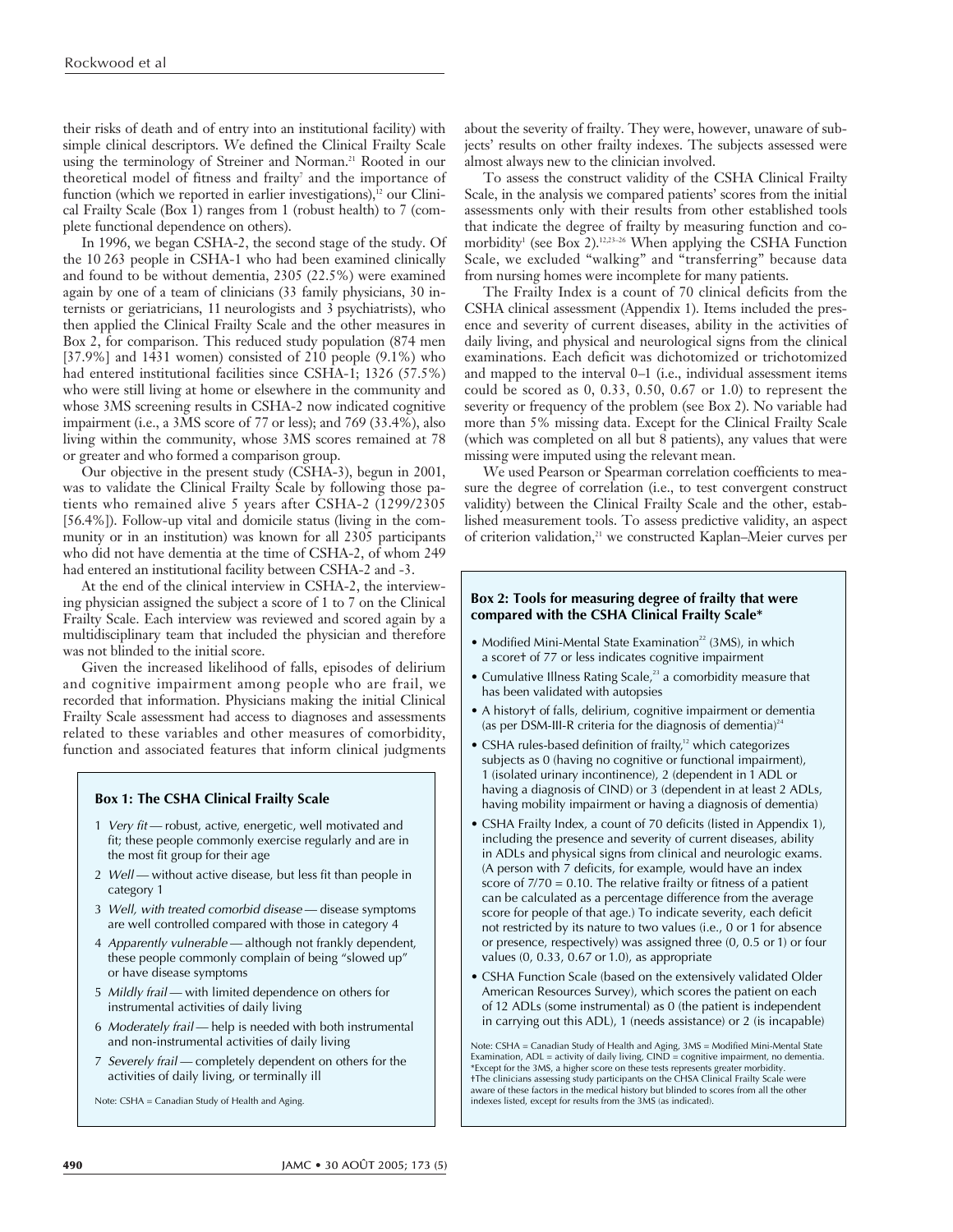their risks of death and of entry into an institutional facility) with simple clinical descriptors. We defined the Clinical Frailty Scale using the terminology of Streiner and Norman.<sup>21</sup> Rooted in our theoretical model of fitness and frailty<sup>7</sup> and the importance of function (which we reported in earlier investigations), $12$  our Clinical Frailty Scale (Box 1) ranges from 1 (robust health) to 7 (complete functional dependence on others).

In 1996, we began CSHA-2, the second stage of the study. Of the 10 263 people in CSHA-1 who had been examined clinically and found to be without dementia, 2305 (22.5%) were examined again by one of a team of clinicians (33 family physicians, 30 internists or geriatricians, 11 neurologists and 3 psychiatrists), who then applied the Clinical Frailty Scale and the other measures in Box 2, for comparison. This reduced study population (874 men  $[37.9\%]$  and  $1431$  women) consisted of  $210$  people  $(9.1\%)$  who had entered institutional facilities since CSHA-1; 1326 (57.5%) who were still living at home or elsewhere in the community and whose 3MS screening results in CSHA-2 now indicated cognitive impairment (i.e., a 3MS score of 77 or less); and 769 (33.4%), also living within the community, whose 3MS scores remained at 78 or greater and who formed a comparison group.

Our objective in the present study (CSHA-3), begun in 2001, was to validate the Clinical Frailty Scale by following those patients who remained alive 5 years after CSHA-2 (1299/2305 [56.4%]). Follow-up vital and domicile status (living in the community or in an institution) was known for all 2305 participants who did not have dementia at the time of CSHA-2, of whom 249 had entered an institutional facility between CSHA-2 and -3.

At the end of the clinical interview in CSHA-2, the interviewing physician assigned the subject a score of 1 to 7 on the Clinical Frailty Scale. Each interview was reviewed and scored again by a multidisciplinary team that included the physician and therefore was not blinded to the initial score.

Given the increased likelihood of falls, episodes of delirium and cognitive impairment among people who are frail, we recorded that information. Physicians making the initial Clinical Frailty Scale assessment had access to diagnoses and assessments related to these variables and other measures of comorbidity, function and associated features that inform clinical judgments

#### **Box 1: The CSHA Clinical Frailty Scale**

- 1 Very fit robust, active, energetic, well motivated and fit; these people commonly exercise regularly and are in the most fit group for their age
- 2 Well without active disease, but less fit than people in category 1
- 3 Well, with treated comorbid disease disease symptoms are well controlled compared with those in category 4
- 4 Apparently vulnerable although not frankly dependent, these people commonly complain of being "slowed up" or have disease symptoms
- 5 Mildly frail with limited dependence on others for instrumental activities of daily living
- 6 Moderately frail help is needed with both instrumental and non-instrumental activities of daily living
- 7 Severely frail completely dependent on others for the activities of daily living, or terminally ill

Note: CSHA = Canadian Study of Health and Aging.

about the severity of frailty. They were, however, unaware of subjects' results on other frailty indexes. The subjects assessed were almost always new to the clinician involved.

To assess the construct validity of the CSHA Clinical Frailty Scale, in the analysis we compared patients' scores from the initial assessments only with their results from other established tools that indicate the degree of frailty by measuring function and comorbidity<sup>1</sup> (see Box 2).<sup>12,23-26</sup> When applying the CSHA Function Scale, we excluded "walking" and "transferring" because data from nursing homes were incomplete for many patients.

The Frailty Index is a count of 70 clinical deficits from the CSHA clinical assessment (Appendix 1). Items included the presence and severity of current diseases, ability in the activities of daily living, and physical and neurological signs from the clinical examinations. Each deficit was dichotomized or trichotomized and mapped to the interval 0–1 (i.e., individual assessment items could be scored as 0, 0.33, 0.50, 0.67 or 1.0) to represent the severity or frequency of the problem (see Box 2). No variable had more than 5% missing data. Except for the Clinical Frailty Scale (which was completed on all but 8 patients), any values that were missing were imputed using the relevant mean.

We used Pearson or Spearman correlation coefficients to measure the degree of correlation (i.e., to test convergent construct validity) between the Clinical Frailty Scale and the other, established measurement tools. To assess predictive validity, an aspect of criterion validation,<sup>21</sup> we constructed Kaplan–Meier curves per

#### **Box 2: Tools for measuring degree of frailty that were compared with the CSHA Clinical Frailty Scale\***

- Modified Mini-Mental State Examination<sup>22</sup> (3MS), in which a score† of 77 or less indicates cognitive impairment
- Cumulative Illness Rating Scale, $2<sup>3</sup>$  a comorbidity measure that has been validated with autopsies
- A history† of falls, delirium, cognitive impairment or dementia (as per DSM-III-R criteria for the diagnosis of dementia) $24$
- CSHA rules-based definition of frailty, $12$  which categorizes subjects as 0 (having no cognitive or functional impairment), 1 (isolated urinary incontinence), 2 (dependent in 1 ADL or having a diagnosis of CIND) or 3 (dependent in at least 2 ADLs, having mobility impairment or having a diagnosis of dementia)
- CSHA Frailty Index, a count of 70 deficits (listed in Appendix 1), including the presence and severity of current diseases, ability in ADLs and physical signs from clinical and neurologic exams. (A person with 7 deficits, for example, would have an index score of  $7/70 = 0.10$ . The relative frailty or fitness of a patient can be calculated as a percentage difference from the average score for people of that age.) To indicate severity, each deficit not restricted by its nature to two values (i.e., 0 or 1 for absence or presence, respectively) was assigned three (0, 0.5 or 1) or four values (0, 0.33, 0.67 or 1.0), as appropriate
- CSHA Function Scale (based on the extensively validated Older American Resources Survey), which scores the patient on each of 12 ADLs (some instrumental) as 0 (the patient is independent in carrying out this ADL), 1 (needs assistance) or 2 (is incapable)

Note: CSHA = Canadian Study of Health and Aging, 3MS = Modified Mini-Mental State Examination, ADL = activity of daily living, CIND = cognitive impairment, no dementia. \*Except for the 3MS, a higher score on these tests represents greater morbidity. †The clinicians assessing study participants on the CHSA Clinical Frailty Scale were aware of these factors in the medical history but blinded to scores from all the other indexes listed, except for results from the 3MS (as indicated).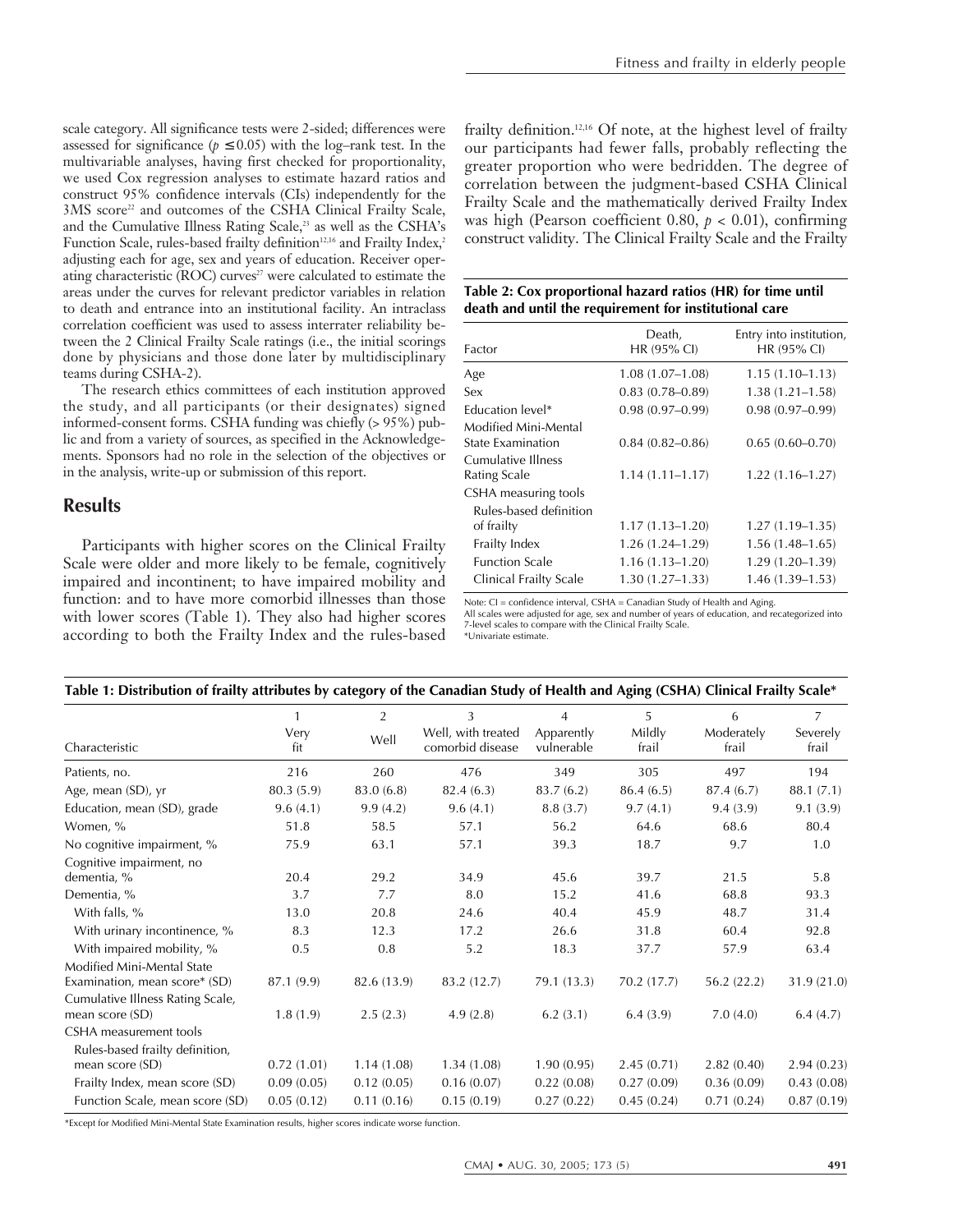scale category. All significance tests were 2-sided; differences were assessed for significance ( $p \leq 0.05$ ) with the log–rank test. In the multivariable analyses, having first checked for proportionality, we used Cox regression analyses to estimate hazard ratios and construct 95% confidence intervals (CIs) independently for the 3MS score<sup>22</sup> and outcomes of the CSHA Clinical Frailty Scale, and the Cumulative Illness Rating Scale,<sup>23</sup> as well as the CSHA's Function Scale, rules-based frailty definition<sup>12,16</sup> and Frailty Index,<sup>2</sup> adjusting each for age, sex and years of education. Receiver operating characteristic (ROC) curves<sup>27</sup> were calculated to estimate the areas under the curves for relevant predictor variables in relation to death and entrance into an institutional facility. An intraclass correlation coefficient was used to assess interrater reliability between the 2 Clinical Frailty Scale ratings (i.e., the initial scorings done by physicians and those done later by multidisciplinary teams during CSHA-2).

The research ethics committees of each institution approved the study, and all participants (or their designates) signed informed-consent forms. CSHA funding was chiefly (> 95%) public and from a variety of sources, as specified in the Acknowledgements. Sponsors had no role in the selection of the objectives or in the analysis, write-up or submission of this report.

## **Results**

Participants with higher scores on the Clinical Frailty Scale were older and more likely to be female, cognitively impaired and incontinent; to have impaired mobility and function: and to have more comorbid illnesses than those with lower scores (Table 1). They also had higher scores according to both the Frailty Index and the rules-based

frailty definition.12,16 Of note, at the highest level of frailty our participants had fewer falls, probably reflecting the greater proportion who were bedridden. The degree of correlation between the judgment-based CSHA Clinical Frailty Scale and the mathematically derived Frailty Index was high (Pearson coefficient 0.80, *p* < 0.01), confirming construct validity. The Clinical Frailty Scale and the Frailty

| Table 2: Cox proportional hazard ratios (HR) for time until |
|-------------------------------------------------------------|
| death and until the requirement for institutional care      |

| Factor                                    | Death,<br>HR (95% CI) | Entry into institution,<br>HR (95% CI) |
|-------------------------------------------|-----------------------|----------------------------------------|
| Age                                       | $1.08(1.07-1.08)$     | $1.15(1.10 - 1.13)$                    |
| Sex                                       | $0.83(0.78 - 0.89)$   | $1.38(1.21 - 1.58)$                    |
| <b>Education level*</b>                   | $0.98(0.97-0.99)$     | $0.98(0.97 - 0.99)$                    |
| Modified Mini-Mental<br>State Examination | $0.84(0.82 - 0.86)$   | $0.65(0.60 - 0.70)$                    |
| Cumulative Illness<br>Rating Scale        | $1.14(1.11 - 1.17)$   | $1.22(1.16 - 1.27)$                    |
| CSHA measuring tools                      |                       |                                        |
| Rules-based definition<br>of frailty      | $1.17(1.13 - 1.20)$   | $1.27(1.19-1.35)$                      |
| Frailty Index                             | 1.26 (1.24–1.29)      | $1.56(1.48-1.65)$                      |
| <b>Function Scale</b>                     | $1.16(1.13 - 1.20)$   | 1.29 (1.20–1.39)                       |
| Clinical Frailty Scale                    | 1.30 (1.27–1.33)      | $1.46(1.39-1.53)$                      |
|                                           |                       |                                        |

Note: CI = confidence interval, CSHA = Canadian Study of Health and Aging.

All scales were adjusted for age, sex and number of years of education, and recategorized into 7-level scales to compare with the Clinical Frailty Scale. \*Univariate estimate.

| Table 1: Distribution of frailty attributes by category of the Canadian Study of Health and Aging (CSHA) Clinical Frailty Scale* |             |                |                                        |                          |                 |                     |                   |  |
|----------------------------------------------------------------------------------------------------------------------------------|-------------|----------------|----------------------------------------|--------------------------|-----------------|---------------------|-------------------|--|
|                                                                                                                                  |             | $\overline{2}$ | 3                                      | $\overline{4}$           | 5               | 6                   | $\overline{7}$    |  |
| Characteristic                                                                                                                   | Very<br>fit | Well           | Well, with treated<br>comorbid disease | Apparently<br>vulnerable | Mildly<br>frail | Moderately<br>frail | Severely<br>frail |  |
| Patients, no.                                                                                                                    | 216         | 260            | 476                                    | 349                      | 305             | 497                 | 194               |  |
| Age, mean (SD), yr                                                                                                               | 80.3 (5.9)  | 83.0 (6.8)     | 82.4(6.3)                              | 83.7(6.2)                | 86.4 (6.5)      | 87.4 (6.7)          | 88.1 (7.1)        |  |
| Education, mean (SD), grade                                                                                                      | 9.6(4.1)    | 9.9(4.2)       | 9.6(4.1)                               | 8.8(3.7)                 | 9.7(4.1)        | 9.4(3.9)            | 9.1(3.9)          |  |
| Women, %                                                                                                                         | 51.8        | 58.5           | 57.1                                   | 56.2                     | 64.6            | 68.6                | 80.4              |  |
| No cognitive impairment, %                                                                                                       | 75.9        | 63.1           | 57.1                                   | 39.3                     | 18.7            | 9.7                 | 1.0               |  |
| Cognitive impairment, no                                                                                                         |             |                |                                        |                          |                 |                     |                   |  |
| dementia, %                                                                                                                      | 20.4        | 29.2           | 34.9                                   | 45.6                     | 39.7            | 21.5                | 5.8               |  |
| Dementia, %                                                                                                                      | 3.7         | 7.7            | 8.0                                    | 15.2                     | 41.6            | 68.8                | 93.3              |  |
| With falls, %                                                                                                                    | 13.0        | 20.8           | 24.6                                   | 40.4                     | 45.9            | 48.7                | 31.4              |  |
| With urinary incontinence, %                                                                                                     | 8.3         | 12.3           | 17.2                                   | 26.6                     | 31.8            | 60.4                | 92.8              |  |
| With impaired mobility, %                                                                                                        | 0.5         | 0.8            | 5.2                                    | 18.3                     | 37.7            | 57.9                | 63.4              |  |
| Modified Mini-Mental State                                                                                                       |             |                |                                        |                          |                 |                     |                   |  |
| Examination, mean score* (SD)                                                                                                    | 87.1 (9.9)  | 82.6 (13.9)    | 83.2 (12.7)                            | 79.1 (13.3)              | 70.2 (17.7)     | 56.2(22.2)          | 31.9 (21.0)       |  |
| Cumulative Illness Rating Scale,                                                                                                 |             |                |                                        |                          |                 |                     |                   |  |
| mean score (SD)                                                                                                                  | 1.8(1.9)    | 2.5(2.3)       | 4.9(2.8)                               | 6.2(3.1)                 | 6.4(3.9)        | 7.0(4.0)            | 6.4(4.7)          |  |
| CSHA measurement tools                                                                                                           |             |                |                                        |                          |                 |                     |                   |  |
| Rules-based frailty definition,                                                                                                  |             |                |                                        |                          |                 |                     |                   |  |
| mean score (SD)                                                                                                                  | 0.72(1.01)  | 1.14(1.08)     | 1.34(1.08)                             | 1.90(0.95)               | 2.45(0.71)      | 2.82(0.40)          | 2.94(0.23)        |  |
| Frailty Index, mean score (SD)                                                                                                   | 0.09(0.05)  | 0.12(0.05)     | 0.16(0.07)                             | 0.22(0.08)               | 0.27(0.09)      | 0.36(0.09)          | 0.43(0.08)        |  |
| Function Scale, mean score (SD)                                                                                                  | 0.05(0.12)  | 0.11(0.16)     | 0.15(0.19)                             | 0.27(0.22)               | 0.45(0.24)      | 0.71(0.24)          | 0.87(0.19)        |  |

\*Except for Modified Mini-Mental State Examination results, higher scores indicate worse function.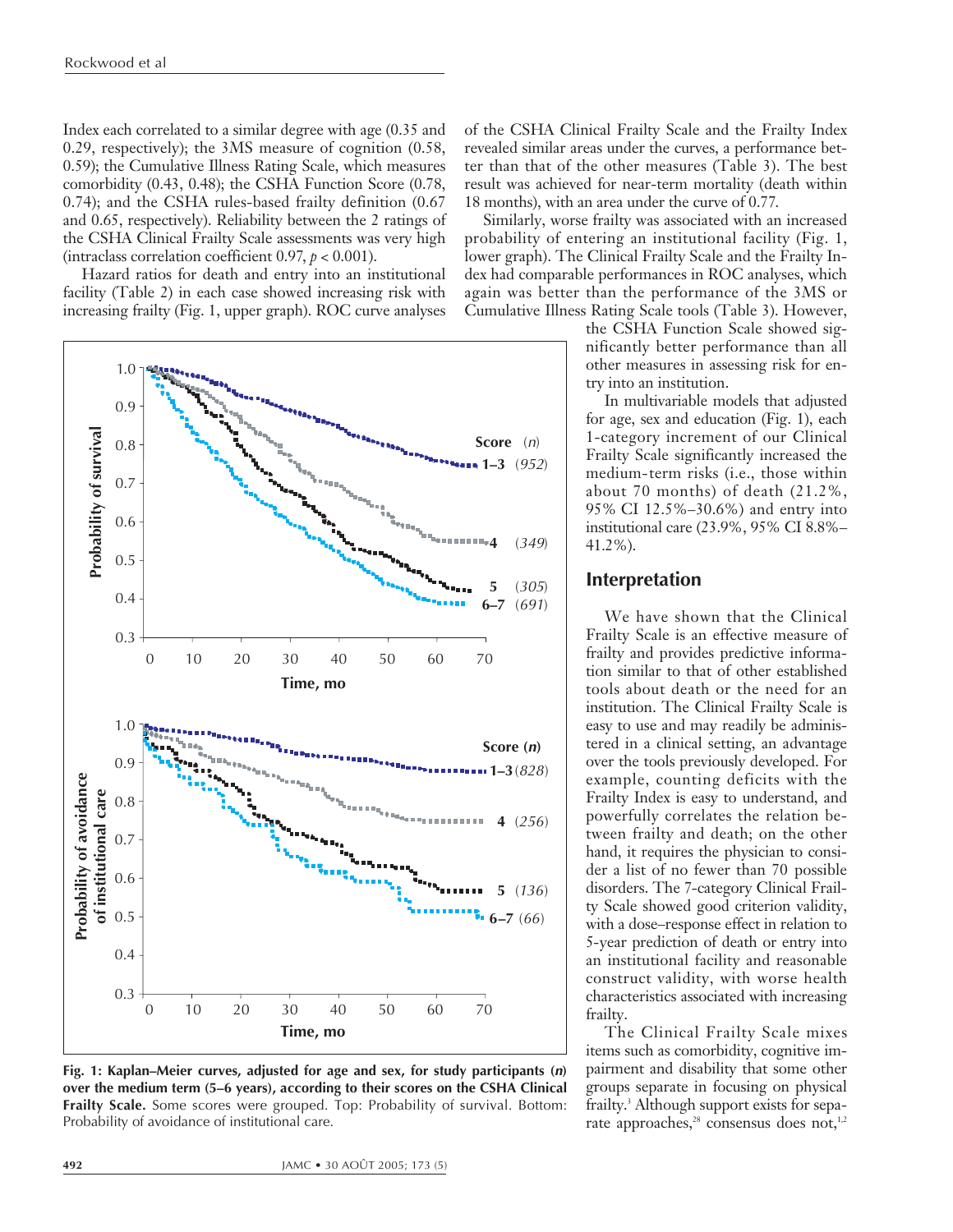Index each correlated to a similar degree with age (0.35 and 0.29, respectively); the 3MS measure of cognition (0.58, 0.59); the Cumulative Illness Rating Scale, which measures comorbidity (0.43, 0.48); the CSHA Function Score (0.78, 0.74); and the CSHA rules-based frailty definition (0.67 and 0.65, respectively). Reliability between the 2 ratings of the CSHA Clinical Frailty Scale assessments was very high (intraclass correlation coefficient  $0.97$ ,  $p < 0.001$ ).

Hazard ratios for death and entry into an institutional facility (Table 2) in each case showed increasing risk with increasing frailty (Fig. 1, upper graph). ROC curve analyses



**Fig. 1: Kaplan–Meier curves, adjusted for age and sex, for study participants (n) over the medium term (5–6 years), according to their scores on the CSHA Clinical Frailty Scale.** Some scores were grouped. Top: Probability of survival. Bottom: Probability of avoidance of institutional care.

of the CSHA Clinical Frailty Scale and the Frailty Index revealed similar areas under the curves, a performance better than that of the other measures (Table 3). The best result was achieved for near-term mortality (death within 18 months), with an area under the curve of 0.77.

Similarly, worse frailty was associated with an increased probability of entering an institutional facility (Fig. 1, lower graph). The Clinical Frailty Scale and the Frailty Index had comparable performances in ROC analyses, which again was better than the performance of the 3MS or Cumulative Illness Rating Scale tools (Table 3). However,

> the CSHA Function Scale showed significantly better performance than all other measures in assessing risk for entry into an institution.

> In multivariable models that adjusted for age, sex and education (Fig. 1), each 1-category increment of our Clinical Frailty Scale significantly increased the medium-term risks (i.e., those within about 70 months) of death (21.2%, 95% CI 12.5%–30.6%) and entry into institutional care (23.9%, 95% CI 8.8%– 41.2%).

## **Interpretation**

We have shown that the Clinical Frailty Scale is an effective measure of frailty and provides predictive information similar to that of other established tools about death or the need for an institution. The Clinical Frailty Scale is easy to use and may readily be administered in a clinical setting, an advantage over the tools previously developed. For example, counting deficits with the Frailty Index is easy to understand, and powerfully correlates the relation between frailty and death; on the other hand, it requires the physician to consider a list of no fewer than 70 possible disorders. The 7-category Clinical Frailty Scale showed good criterion validity, with a dose–response effect in relation to 5-year prediction of death or entry into an institutional facility and reasonable construct validity, with worse health characteristics associated with increasing frailty.

The Clinical Frailty Scale mixes items such as comorbidity, cognitive impairment and disability that some other groups separate in focusing on physical frailty.<sup>3</sup> Although support exists for separate approaches,<sup>28</sup> consensus does not,<sup>1,2</sup>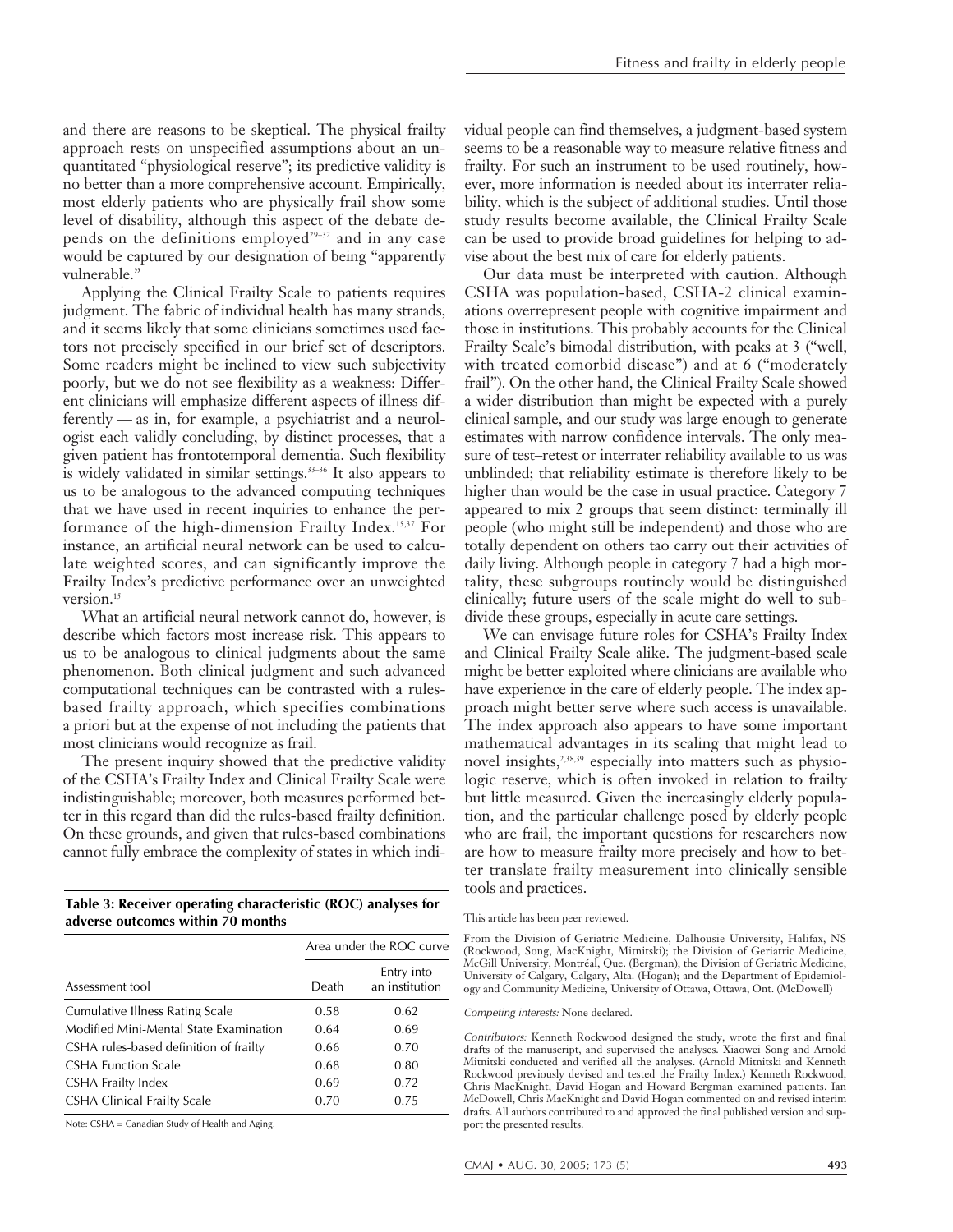and there are reasons to be skeptical. The physical frailty approach rests on unspecified assumptions about an unquantitated "physiological reserve"; its predictive validity is no better than a more comprehensive account. Empirically, most elderly patients who are physically frail show some level of disability, although this aspect of the debate depends on the definitions employed<sup>29-32</sup> and in any case would be captured by our designation of being "apparently vulnerable."

Applying the Clinical Frailty Scale to patients requires judgment. The fabric of individual health has many strands, and it seems likely that some clinicians sometimes used factors not precisely specified in our brief set of descriptors. Some readers might be inclined to view such subjectivity poorly, but we do not see flexibility as a weakness: Different clinicians will emphasize different aspects of illness differently — as in, for example, a psychiatrist and a neurologist each validly concluding, by distinct processes, that a given patient has frontotemporal dementia. Such flexibility is widely validated in similar settings.<sup>33-36</sup> It also appears to us to be analogous to the advanced computing techniques that we have used in recent inquiries to enhance the performance of the high-dimension Frailty Index.15,37 For instance, an artificial neural network can be used to calculate weighted scores, and can significantly improve the Frailty Index's predictive performance over an unweighted version.<sup>15</sup>

What an artificial neural network cannot do, however, is describe which factors most increase risk. This appears to us to be analogous to clinical judgments about the same phenomenon. Both clinical judgment and such advanced computational techniques can be contrasted with a rulesbased frailty approach, which specifies combinations a priori but at the expense of not including the patients that most clinicians would recognize as frail.

The present inquiry showed that the predictive validity of the CSHA's Frailty Index and Clinical Frailty Scale were indistinguishable; moreover, both measures performed better in this regard than did the rules-based frailty definition. On these grounds, and given that rules-based combinations cannot fully embrace the complexity of states in which indi-

**Table 3: Receiver operating characteristic (ROC) analyses for adverse outcomes within 70 months**

|                                        | Area under the ROC curve |                              |  |  |
|----------------------------------------|--------------------------|------------------------------|--|--|
| Assessment tool                        | Death                    | Entry into<br>an institution |  |  |
| Cumulative Illness Rating Scale        | 0.58                     | 0.62                         |  |  |
| Modified Mini-Mental State Examination | 0.64                     | 0.69                         |  |  |
| CSHA rules-based definition of frailty | 0.66                     | 0.70                         |  |  |
| <b>CSHA Function Scale</b>             | 0.68                     | 0.80                         |  |  |
| CSHA Frailty Index                     | 0.69                     | 0.72                         |  |  |
| CSHA Clinical Frailty Scale            | 0.70                     | 0.75                         |  |  |

Note: CSHA = Canadian Study of Health and Aging.

vidual people can find themselves, a judgment-based system seems to be a reasonable way to measure relative fitness and frailty. For such an instrument to be used routinely, however, more information is needed about its interrater reliability, which is the subject of additional studies. Until those study results become available, the Clinical Frailty Scale can be used to provide broad guidelines for helping to advise about the best mix of care for elderly patients.

Our data must be interpreted with caution. Although CSHA was population-based, CSHA-2 clinical examinations overrepresent people with cognitive impairment and those in institutions. This probably accounts for the Clinical Frailty Scale's bimodal distribution, with peaks at 3 ("well, with treated comorbid disease") and at 6 ("moderately frail"). On the other hand, the Clinical Frailty Scale showed a wider distribution than might be expected with a purely clinical sample, and our study was large enough to generate estimates with narrow confidence intervals. The only measure of test–retest or interrater reliability available to us was unblinded; that reliability estimate is therefore likely to be higher than would be the case in usual practice. Category 7 appeared to mix 2 groups that seem distinct: terminally ill people (who might still be independent) and those who are totally dependent on others tao carry out their activities of daily living. Although people in category 7 had a high mortality, these subgroups routinely would be distinguished clinically; future users of the scale might do well to subdivide these groups, especially in acute care settings.

We can envisage future roles for CSHA's Frailty Index and Clinical Frailty Scale alike. The judgment-based scale might be better exploited where clinicians are available who have experience in the care of elderly people. The index approach might better serve where such access is unavailable. The index approach also appears to have some important mathematical advantages in its scaling that might lead to novel insights,<sup>2,38,39</sup> especially into matters such as physiologic reserve, which is often invoked in relation to frailty but little measured. Given the increasingly elderly population, and the particular challenge posed by elderly people who are frail, the important questions for researchers now are how to measure frailty more precisely and how to better translate frailty measurement into clinically sensible tools and practices.

From the Division of Geriatric Medicine, Dalhousie University, Halifax, NS (Rockwood, Song, MacKnight, Mitnitski); the Division of Geriatric Medicine, McGill University, Montréal, Que. (Bergman); the Division of Geriatric Medicine, University of Calgary, Calgary, Alta. (Hogan); and the Department of Epidemiology and Community Medicine, University of Ottawa, Ottawa, Ont. (McDowell)

Competing interests*:* None declared.

Contributors*:* Kenneth Rockwood designed the study, wrote the first and final drafts of the manuscript, and supervised the analyses. Xiaowei Song and Arnold Mitnitski conducted and verified all the analyses. (Arnold Mitnitski and Kenneth Rockwood previously devised and tested the Frailty Index.) Kenneth Rockwood, Chris MacKnight, David Hogan and Howard Bergman examined patients. Ian McDowell, Chris MacKnight and David Hogan commented on and revised interim drafts. All authors contributed to and approved the final published version and support the presented results.

This article has been peer reviewed.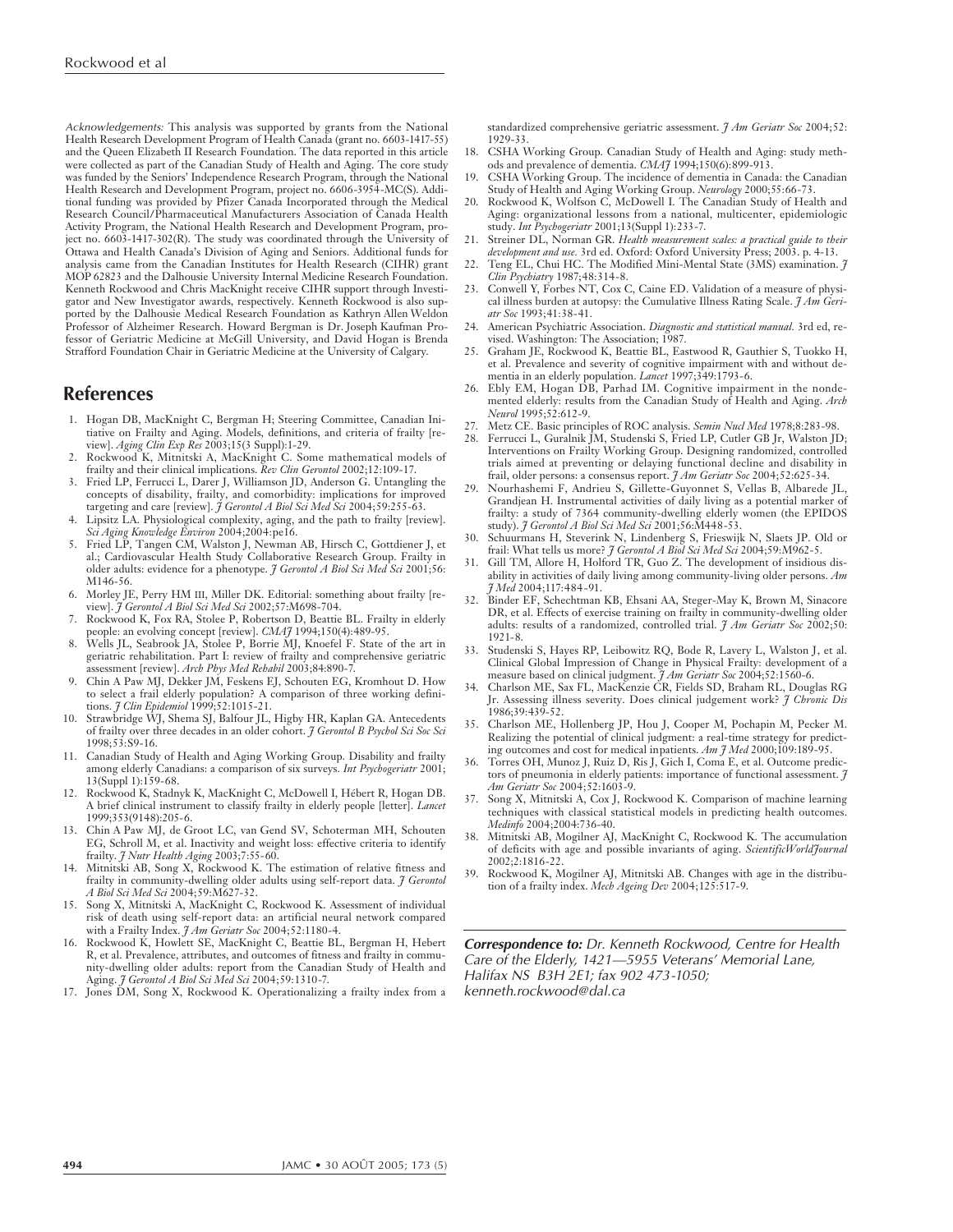Acknowledgements*:* This analysis was supported by grants from the National Health Research Development Program of Health Canada (grant no. 6603-1417-55) and the Queen Elizabeth II Research Foundation. The data reported in this article were collected as part of the Canadian Study of Health and Aging. The core study was funded by the Seniors' Independence Research Program, through the National Health Research and Development Program, project no. 6606-3954-MC(S). Additional funding was provided by Pfizer Canada Incorporated through the Medical Research Council/Pharmaceutical Manufacturers Association of Canada Health Activity Program, the National Health Research and Development Program, project no. 6603-1417-302(R). The study was coordinated through the University of Ottawa and Health Canada's Division of Aging and Seniors. Additional funds for analysis came from the Canadian Institutes for Health Research (CIHR) grant MOP 62823 and the Dalhousie University Internal Medicine Research Foundation. Kenneth Rockwood and Chris MacKnight receive CIHR support through Investigator and New Investigator awards, respectively. Kenneth Rockwood is also supported by the Dalhousie Medical Research Foundation as Kathryn Allen Weldon Professor of Alzheimer Research. Howard Bergman is Dr. Joseph Kaufman Professor of Geriatric Medicine at McGill University, and David Hogan is Brenda Strafford Foundation Chair in Geriatric Medicine at the University of Calgary.

## **References**

- 1. Hogan DB, MacKnight C, Bergman H; Steering Committee, Canadian Initiative on Frailty and Aging. Models, definitions, and criteria of frailty [re-
- view]. *Aging Clin Exp Res* 2003;15(3 Suppl):1-29. 2. Rockwood K, Mitnitski A, MacKnight C. Some mathematical models of frailty and their clinical implications. *Rev Clin Gerontol* 2002;12:109-17.
- 3. Fried LP, Ferrucci L, Darer J, Williamson JD, Anderson G. Untangling the concepts of disability, frailty, and comorbidity: implications for improved targeting and care [review]. *J Gerontol A Biol Sci Med Sci* 2004;59:255-63.
- Lipsitz LA. Physiological complexity, aging, and the path to frailty [review] *Sci Aging Knowledge Environ* 2004;2004:pe16.
- 5. Fried LP, Tangen CM, Walston J, Newman AB, Hirsch C, Gottdiener J, et al.; Cardiovascular Health Study Collaborative Research Group. Frailty in older adults: evidence for a phenotype. *J Gerontol A Biol Sci Med Sci* 2001;56: M146-56.
- 6. Morley JE, Perry HM III, Miller DK. Editorial: something about frailty [review]. *J Gerontol A Biol Sci Med Sci* 2002;57:M698-704.
- Rockwood K, Fox RA, Stolee P, Robertson D, Beattie BL. Frailty in elderly people: an evolving concept [review]. *CMAJ* 1994;150(4):489-95.
- 8. Wells JL, Seabrook JA, Stolee P, Borrie MJ, Knoefel F. State of the art in geriatric rehabilitation. Part I: review of frailty and comprehensive geriatric assessment [review]. *Arch Phys Med Rehabil* 2003;84:890-7.
- 9. Chin A Paw MJ, Dekker JM, Feskens EJ, Schouten EG, Kromhout D. How to select a frail elderly population? A comparison of three working definitions. *J Clin Epidemiol* 1999;52:1015-21.
- 10. Strawbridge WJ, Shema SJ, Balfour JL, Higby HR, Kaplan GA. Antecedents of frailty over three decades in an older cohort. *J Gerontol B Psychol Sci Soc Sci* 1998;53:S9-16.
- 11. Canadian Study of Health and Aging Working Group. Disability and frailty among elderly Canadians: a comparison of six surveys. *Int Psychogeriatr* 2001; 13(Suppl 1):159-68.
- 12. Rockwood K, Stadnyk K, MacKnight C, McDowell I, Hébert R, Hogan DB. A brief clinical instrument to classify frailty in elderly people [letter]. *Lancet* 1999;353(9148):205-6.
- 13. Chin A Paw MJ, de Groot LC, van Gend SV, Schoterman MH, Schouten EG, Schroll M, et al. Inactivity and weight loss: effective criteria to identify frailty. *J Nutr Health Aging* 2003;7:55-60.
- 14. Mitnitski AB, Song X, Rockwood K. The estimation of relative fitness and frailty in community-dwelling older adults using self-report data. *J Gerontol A Biol Sci Med Sci* 2004;59:M627-32.
- 15. Song X, Mitnitski A, MacKnight C, Rockwood K. Assessment of individual risk of death using self-report data: an artificial neural network compared with a Frailty Index. *J Am Geriatr Soc* 2004;52:1180-4.
- 16. Rockwood K, Howlett SE, MacKnight C, Beattie BL, Bergman H, Hebert R, et al. Prevalence, attributes, and outcomes of fitness and frailty in community-dwelling older adults: report from the Canadian Study of Health and Aging. *J Gerontol A Biol Sci Med Sci* 2004;59:1310-7.
- 17. Jones DM, Song X, Rockwood K. Operationalizing a frailty index from a

standardized comprehensive geriatric assessment. *J Am Geriatr Soc* 2004;52: 1929-33.

- 18. CSHA Working Group. Canadian Study of Health and Aging: study methods and prevalence of dementia. *CMAJ* 1994;150(6):899-913.
- CSHA Working Group. The incidence of dementia in Canada: the Canadian Study of Health and Aging Working Group. *Neurology* 2000;55:66-73. 20. Rockwood K, Wolfson C, McDowell I. The Canadian Study of Health and
- Aging: organizational lessons from a national, multicenter, epidemiologic study. *Int Psychogeriatr* 2001;13(Suppl 1):233-7.
- 21. Streiner DL, Norman GR. *Health measurement scales: a practical guide to their development and use.* 3rd ed. Oxford: Oxford University Press; 2003. p. 4-13.
- 22. Teng EL, Chui HC. The Modified Mini-Mental State (3MS) examination. *J Clin Psychiatry* 1987;48:314-8.
- 23. Conwell Y, Forbes NT, Cox C, Caine ED. Validation of a measure of physical illness burden at autopsy: the Cumulative Illness Rating Scale. *J Am Geriatr Soc* 1993;41:38-41.
- 24. American Psychiatric Association. *Diagnostic and statistical manual.* 3rd ed, revised. Washington: The Association; 1987.
- 25. Graham JE, Rockwood K, Beattie BL, Eastwood R, Gauthier S, Tuokko H, et al. Prevalence and severity of cognitive impairment with and without dementia in an elderly population. *Lancet* 1997;349:1793-6.
- 26. Ebly EM, Hogan DB, Parhad IM. Cognitive impairment in the nondemented elderly: results from the Canadian Study of Health and Aging. *Arch Neurol* 1995;52:612-9.
- 27. Metz CE. Basic principles of ROC analysis. *Semin Nucl Med* 1978;8:283-98.
- 28. Ferrucci L, Guralnik JM, Studenski S, Fried LP, Cutler GB Jr, Walston JD; Interventions on Frailty Working Group. Designing randomized, controlled trials aimed at preventing or delaying functional decline and disability in frail, older persons: a consensus report. *J Am Geriatr Soc* 2004;52:625-34.
- 29. Nourhashemi F, Andrieu S, Gillette-Guyonnet S, Vellas B, Albarede JL, Grandjean H. Instrumental activities of daily living as a potential marker of frailty: a study of 7364 community-dwelling elderly women (the EPIDOS study). *J Gerontol A Biol Sci Med Sci* 2001;56:M448-53.
- 30. Schuurmans H, Steverink N, Lindenberg S, Frieswijk N, Slaets JP. Old or frail: What tells us more? *J Gerontol A Biol Sci Med Sci* 2004;59:M962-5.
- 31. Gill TM, Allore H, Holford TR, Guo Z. The development of insidious disability in activities of daily living among community-living older persons. *Am J Med* 2004;117:484-91.
- 32. Binder EF, Schechtman KB, Ehsani AA, Steger-May K, Brown M, Sinacore DR, et al. Effects of exercise training on frailty in community-dwelling older adults: results of a randomized, controlled trial. *J Am Geriatr Soc* 2002;50: 1921-8.
- 33. Studenski S, Hayes RP, Leibowitz RQ, Bode R, Lavery L, Walston J, et al. Clinical Global Impression of Change in Physical Frailty: development of a
- measure based on clinical judgment. *J Am Geriatr Soc* 2004;52:1560-6. 34. Charlson ME, Sax FL, MacKenzie CR, Fields SD, Braham RL, Douglas RG Jr. Assessing illness severity. Does clinical judgement work? *J Chronic Dis* 1986;39:439-52.
- 35. Charlson ME, Hollenberg JP, Hou J, Cooper M, Pochapin M, Pecker M. Realizing the potential of clinical judgment: a real-time strategy for predicting outcomes and cost for medical inpatients. *Am J Med* 2000;109:189-95.
- 36. Torres OH, Munoz J, Ruiz D, Ris J, Gich I, Coma E, et al. Outcome predictors of pneumonia in elderly patients: importance of functional assessment. *J Am Geriatr Soc* 2004;52:1603-9.
- 37. Song X, Mitnitski A, Cox J, Rockwood K. Comparison of machine learning techniques with classical statistical models in predicting health outcomes. *Medinfo* 2004;2004:736-40.
- 38. Mitnitski AB, Mogilner AJ, MacKnight C, Rockwood K. The accumulation of deficits with age and possible invariants of aging. *ScientificWorldJournal* 2002;2:1816-22.
- 39. Rockwood K, Mogilner AJ, Mitnitski AB. Changes with age in the distribution of a frailty index. *Mech Ageing Dev* 2004;125:517-9.

**Correspondence to:** Dr. Kenneth Rockwood, Centre for Health Care of the Elderly, 1421—5955 Veterans' Memorial Lane, Halifax NS B3H 2E1; fax 902 473-1050; kenneth.rockwood@dal.ca